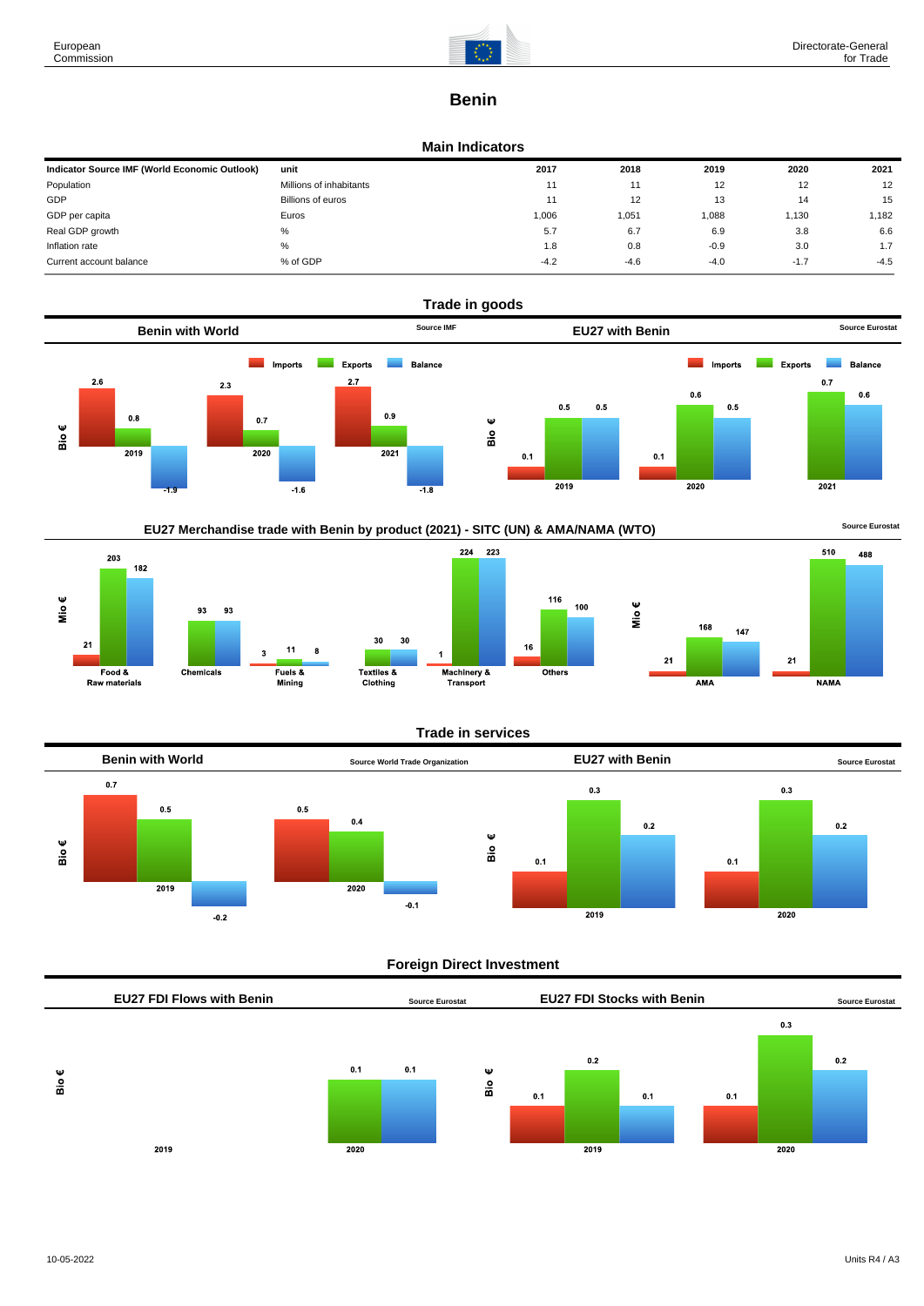

# **Benin**

#### **Main Indicators**

| Indicator Source IMF (World Economic Outlook) | unit                    | 2017   | 2018   | 2019   | 2020   | 2021   |
|-----------------------------------------------|-------------------------|--------|--------|--------|--------|--------|
| Population                                    | Millions of inhabitants | 11     |        | 12     | 12     | 12     |
| GDP                                           | Billions of euros       | 11     | 12     | 13     | 14     | 15     |
| GDP per capita                                | Euros                   | 1,006  | 1.051  | 1,088  | 1,130  | 1,182  |
| Real GDP growth                               | %                       | 5.7    | 6.7    | 6.9    | 3.8    | 6.6    |
| Inflation rate                                | %                       | 1.8    | 0.8    | $-0.9$ | 3.0    | 1.7    |
| Current account balance                       | % of GDP                | $-4.2$ | $-4.6$ | $-4.0$ | $-1.7$ | $-4.5$ |







### **Trade in services**



### **Foreign Direct Investment**